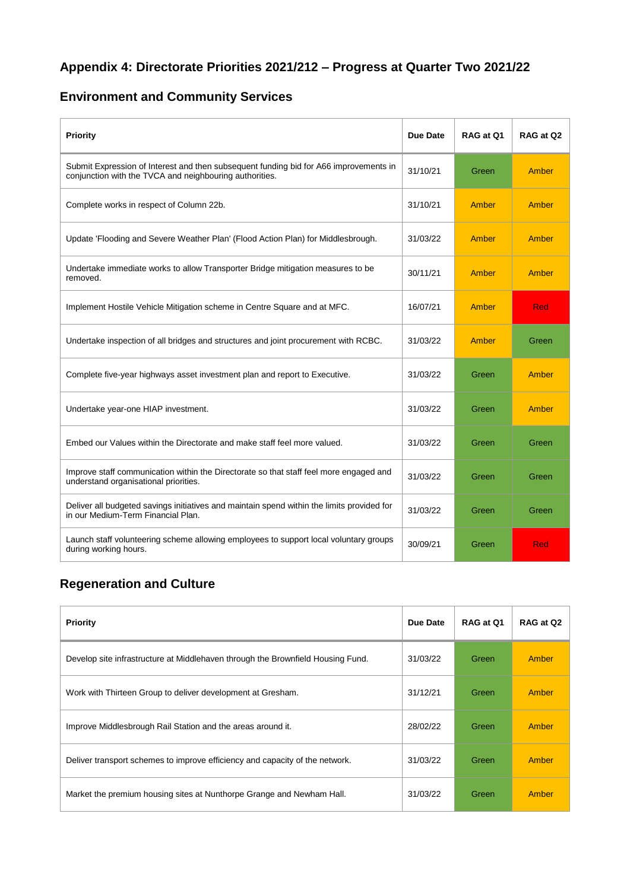## **Appendix 4: Directorate Priorities 2021/212 – Progress at Quarter Two 2021/22**

## **Environment and Community Services**

| Priority                                                                                                                                         | Due Date | RAG at Q1 | RAG at Q2 |
|--------------------------------------------------------------------------------------------------------------------------------------------------|----------|-----------|-----------|
| Submit Expression of Interest and then subsequent funding bid for A66 improvements in<br>conjunction with the TVCA and neighbouring authorities. | 31/10/21 | Green     | Amber     |
| Complete works in respect of Column 22b.                                                                                                         | 31/10/21 | Amber     | Amber     |
| Update 'Flooding and Severe Weather Plan' (Flood Action Plan) for Middlesbrough.                                                                 | 31/03/22 | Amber     | Amber     |
| Undertake immediate works to allow Transporter Bridge mitigation measures to be<br>removed.                                                      | 30/11/21 | Amber     | Amber     |
| Implement Hostile Vehicle Mitigation scheme in Centre Square and at MFC.                                                                         | 16/07/21 | Amber     | Red       |
| Undertake inspection of all bridges and structures and joint procurement with RCBC.                                                              | 31/03/22 | Amber     | Green     |
| Complete five-year highways asset investment plan and report to Executive.                                                                       | 31/03/22 | Green     | Amber     |
| Undertake year-one HIAP investment.                                                                                                              | 31/03/22 | Green     | Amber     |
| Embed our Values within the Directorate and make staff feel more valued.                                                                         | 31/03/22 | Green     | Green     |
| Improve staff communication within the Directorate so that staff feel more engaged and<br>understand organisational priorities.                  | 31/03/22 | Green     | Green     |
| Deliver all budgeted savings initiatives and maintain spend within the limits provided for<br>in our Medium-Term Financial Plan.                 | 31/03/22 | Green     | Green     |
| Launch staff volunteering scheme allowing employees to support local voluntary groups<br>during working hours.                                   | 30/09/21 | Green     | Red       |

#### **Regeneration and Culture**

| Priority                                                                        | Due Date | RAG at Q1 | RAG at Q2    |
|---------------------------------------------------------------------------------|----------|-----------|--------------|
| Develop site infrastructure at Middlehaven through the Brownfield Housing Fund. | 31/03/22 | Green     | <b>Amber</b> |
| Work with Thirteen Group to deliver development at Gresham.                     | 31/12/21 | Green     | Amber        |
| Improve Middlesbrough Rail Station and the areas around it.                     | 28/02/22 | Green     | <b>Amber</b> |
| Deliver transport schemes to improve efficiency and capacity of the network.    | 31/03/22 | Green     | Amber        |
| Market the premium housing sites at Nunthorpe Grange and Newham Hall.           | 31/03/22 | Green     | <b>Amber</b> |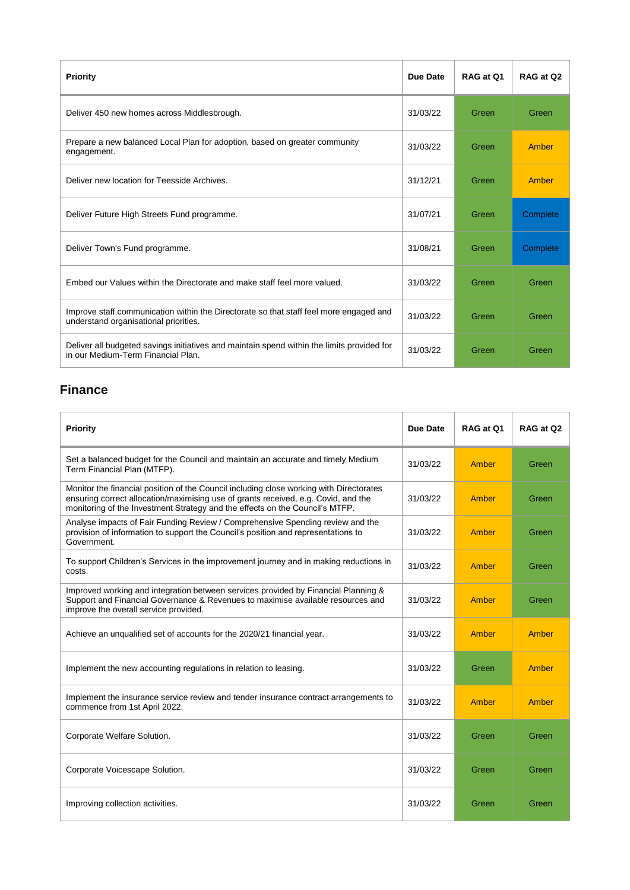| Priority                                                                                                                         | Due Date | RAG at 01 | RAG at Q2 |
|----------------------------------------------------------------------------------------------------------------------------------|----------|-----------|-----------|
| Deliver 450 new homes across Middlesbrough.                                                                                      | 31/03/22 | Green     | Green     |
| Prepare a new balanced Local Plan for adoption, based on greater community<br>engagement.                                        | 31/03/22 | Green     | Amber     |
| Deliver new location for Teesside Archives.                                                                                      | 31/12/21 | Green     | Amber     |
| Deliver Future High Streets Fund programme.                                                                                      | 31/07/21 | Green     | Complete  |
| Deliver Town's Fund programme.                                                                                                   | 31/08/21 | Green     | Complete  |
| Embed our Values within the Directorate and make staff feel more valued.                                                         | 31/03/22 | Green     | Green     |
| Improve staff communication within the Directorate so that staff feel more engaged and<br>understand organisational priorities.  | 31/03/22 | Green     | Green     |
| Deliver all budgeted savings initiatives and maintain spend within the limits provided for<br>in our Medium-Term Financial Plan. | 31/03/22 | Green     | Green     |

### **Finance**

| Priority                                                                                                                                                                                                                                                      | Due Date | RAG at Q1 | RAG at Q2 |
|---------------------------------------------------------------------------------------------------------------------------------------------------------------------------------------------------------------------------------------------------------------|----------|-----------|-----------|
| Set a balanced budget for the Council and maintain an accurate and timely Medium<br>Term Financial Plan (MTFP).                                                                                                                                               | 31/03/22 | Amber     | Green     |
| Monitor the financial position of the Council including close working with Directorates<br>ensuring correct allocation/maximising use of grants received, e.g. Covid, and the<br>monitoring of the Investment Strategy and the effects on the Council's MTFP. | 31/03/22 | Amber     | Green     |
| Analyse impacts of Fair Funding Review / Comprehensive Spending review and the<br>provision of information to support the Council's position and representations to<br>Government.                                                                            | 31/03/22 | Amber     | Green     |
| To support Children's Services in the improvement journey and in making reductions in<br>costs.                                                                                                                                                               | 31/03/22 | Amber     | Green     |
| Improved working and integration between services provided by Financial Planning &<br>Support and Financial Governance & Revenues to maximise available resources and<br>improve the overall service provided.                                                | 31/03/22 | Amber     | Green     |
| Achieve an unqualified set of accounts for the 2020/21 financial year.                                                                                                                                                                                        | 31/03/22 | Amber     | Amber     |
| Implement the new accounting regulations in relation to leasing.                                                                                                                                                                                              | 31/03/22 | Green     | Amber     |
| Implement the insurance service review and tender insurance contract arrangements to<br>commence from 1st April 2022.                                                                                                                                         | 31/03/22 | Amber     | Amber     |
| Corporate Welfare Solution.                                                                                                                                                                                                                                   | 31/03/22 | Green     | Green     |
| Corporate Voicescape Solution.                                                                                                                                                                                                                                | 31/03/22 | Green     | Green     |
| Improving collection activities.                                                                                                                                                                                                                              | 31/03/22 | Green     | Green     |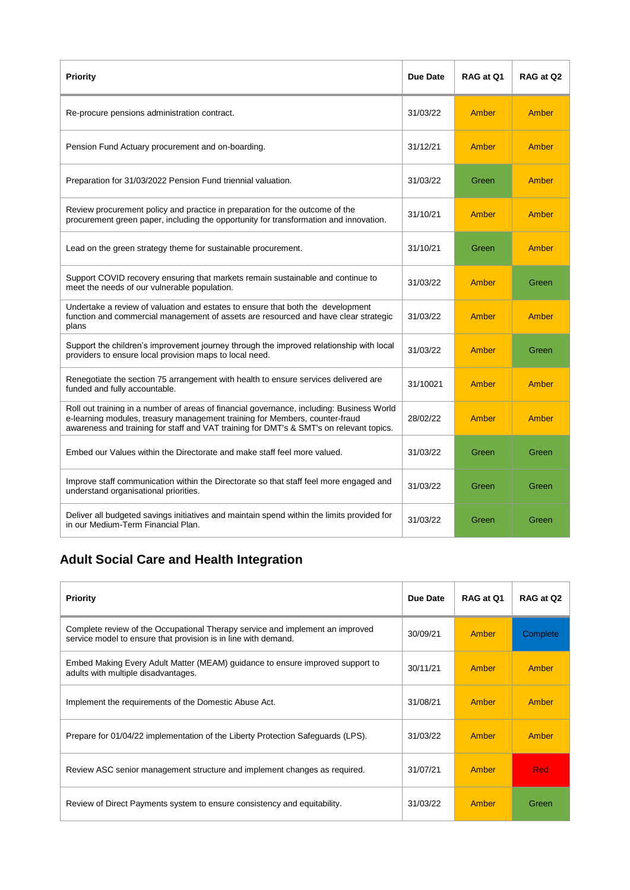| <b>Priority</b>                                                                                                                                                                                                                                                     | Due Date | RAG at Q1 | RAG at Q2 |
|---------------------------------------------------------------------------------------------------------------------------------------------------------------------------------------------------------------------------------------------------------------------|----------|-----------|-----------|
| Re-procure pensions administration contract.                                                                                                                                                                                                                        | 31/03/22 | Amber     | Amber     |
| Pension Fund Actuary procurement and on-boarding.                                                                                                                                                                                                                   | 31/12/21 | Amber     | Amber     |
| Preparation for 31/03/2022 Pension Fund triennial valuation.                                                                                                                                                                                                        | 31/03/22 | Green     | Amber     |
| Review procurement policy and practice in preparation for the outcome of the<br>procurement green paper, including the opportunity for transformation and innovation.                                                                                               | 31/10/21 | Amber     | Amber     |
| Lead on the green strategy theme for sustainable procurement.                                                                                                                                                                                                       | 31/10/21 | Green     | Amber     |
| Support COVID recovery ensuring that markets remain sustainable and continue to<br>meet the needs of our vulnerable population.                                                                                                                                     | 31/03/22 | Amber     | Green     |
| Undertake a review of valuation and estates to ensure that both the development<br>function and commercial management of assets are resourced and have clear strategic<br>plans                                                                                     | 31/03/22 | Amber     | Amber     |
| Support the children's improvement journey through the improved relationship with local<br>providers to ensure local provision maps to local need.                                                                                                                  | 31/03/22 | Amber     | Green     |
| Renegotiate the section 75 arrangement with health to ensure services delivered are<br>funded and fully accountable.                                                                                                                                                | 31/10021 | Amber     | Amber     |
| Roll out training in a number of areas of financial governance, including: Business World<br>e-learning modules, treasury management training for Members, counter-fraud<br>awareness and training for staff and VAT training for DMT's & SMT's on relevant topics. | 28/02/22 | Amber     | Amber     |
| Embed our Values within the Directorate and make staff feel more valued.                                                                                                                                                                                            | 31/03/22 | Green     | Green     |
| Improve staff communication within the Directorate so that staff feel more engaged and<br>understand organisational priorities.                                                                                                                                     | 31/03/22 | Green     | Green     |
| Deliver all budgeted savings initiatives and maintain spend within the limits provided for<br>in our Medium-Term Financial Plan.                                                                                                                                    | 31/03/22 | Green     | Green     |

# **Adult Social Care and Health Integration**

| Priority                                                                                                                                        | Due Date | RAG at Q1 | RAG at Q2  |
|-------------------------------------------------------------------------------------------------------------------------------------------------|----------|-----------|------------|
| Complete review of the Occupational Therapy service and implement an improved<br>service model to ensure that provision is in line with demand. | 30/09/21 | Amber     | Complete   |
| Embed Making Every Adult Matter (MEAM) guidance to ensure improved support to<br>adults with multiple disadvantages.                            | 30/11/21 | Amber     | Amber      |
| Implement the requirements of the Domestic Abuse Act.                                                                                           | 31/08/21 | Amber     | Amber      |
| Prepare for 01/04/22 implementation of the Liberty Protection Safeguards (LPS).                                                                 | 31/03/22 | Amber     | Amber      |
| Review ASC senior management structure and implement changes as required.                                                                       | 31/07/21 | Amber     | <b>Red</b> |
| Review of Direct Payments system to ensure consistency and equitability.                                                                        | 31/03/22 | Amber     | Green      |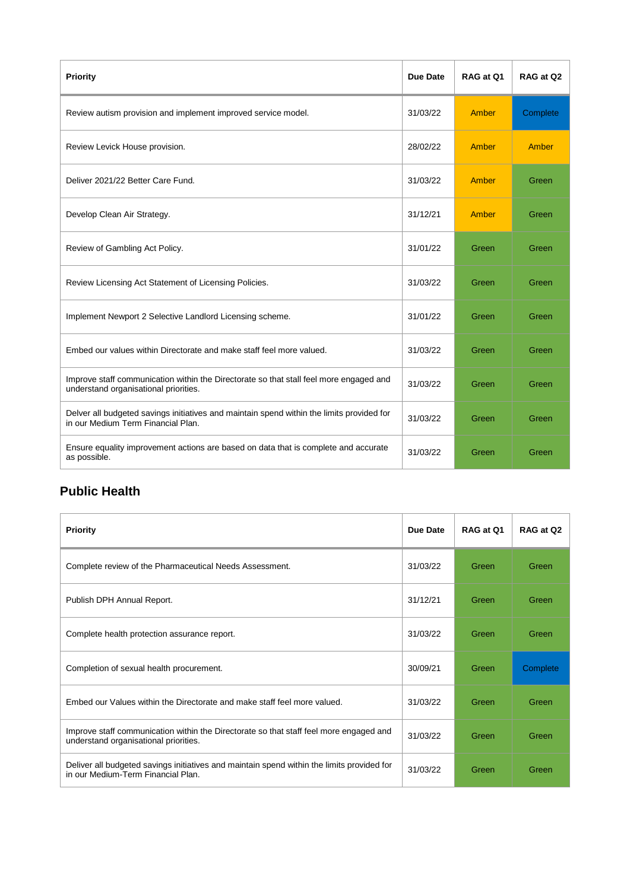| <b>Priority</b>                                                                                                                 | Due Date | RAG at Q1 | RAG at Q2 |
|---------------------------------------------------------------------------------------------------------------------------------|----------|-----------|-----------|
| Review autism provision and implement improved service model.                                                                   | 31/03/22 | Amber     | Complete  |
| Review Levick House provision.                                                                                                  | 28/02/22 | Amber     | Amber     |
| Deliver 2021/22 Better Care Fund.                                                                                               | 31/03/22 | Amber     | Green     |
| Develop Clean Air Strategy.                                                                                                     | 31/12/21 | Amber     | Green     |
| Review of Gambling Act Policy.                                                                                                  | 31/01/22 | Green     | Green     |
| Review Licensing Act Statement of Licensing Policies.                                                                           | 31/03/22 | Green     | Green     |
| Implement Newport 2 Selective Landlord Licensing scheme.                                                                        | 31/01/22 | Green     | Green     |
| Embed our values within Directorate and make staff feel more valued.                                                            | 31/03/22 | Green     | Green     |
| Improve staff communication within the Directorate so that stall feel more engaged and<br>understand organisational priorities. | 31/03/22 | Green     | Green     |
| Delver all budgeted savings initiatives and maintain spend within the limits provided for<br>in our Medium Term Financial Plan. | 31/03/22 | Green     | Green     |
| Ensure equality improvement actions are based on data that is complete and accurate<br>as possible.                             | 31/03/22 | Green     | Green     |

## **Public Health**

| <b>Priority</b>                                                                                                                  | Due Date | RAG at Q1 | RAG at Q2 |
|----------------------------------------------------------------------------------------------------------------------------------|----------|-----------|-----------|
| Complete review of the Pharmaceutical Needs Assessment.                                                                          | 31/03/22 | Green     | Green     |
| Publish DPH Annual Report.                                                                                                       | 31/12/21 | Green     | Green     |
| Complete health protection assurance report.                                                                                     | 31/03/22 | Green     | Green     |
| Completion of sexual health procurement.                                                                                         | 30/09/21 | Green     | Complete  |
| Embed our Values within the Directorate and make staff feel more valued.                                                         | 31/03/22 | Green     | Green     |
| Improve staff communication within the Directorate so that staff feel more engaged and<br>understand organisational priorities.  | 31/03/22 | Green     | Green     |
| Deliver all budgeted savings initiatives and maintain spend within the limits provided for<br>in our Medium-Term Financial Plan. | 31/03/22 | Green     | Green     |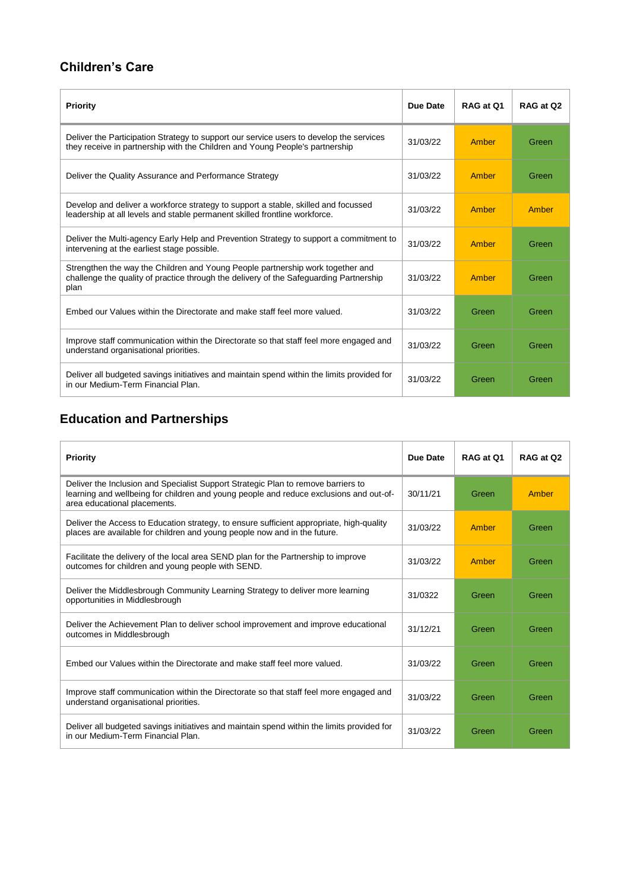### **Children's Care**

| Priority                                                                                                                                                                         | Due Date | RAG at Q1 | RAG at Q2 |
|----------------------------------------------------------------------------------------------------------------------------------------------------------------------------------|----------|-----------|-----------|
| Deliver the Participation Strategy to support our service users to develop the services<br>they receive in partnership with the Children and Young People's partnership          | 31/03/22 | Amber     | Green     |
| Deliver the Quality Assurance and Performance Strategy                                                                                                                           | 31/03/22 | Amber     | Green     |
| Develop and deliver a workforce strategy to support a stable, skilled and focussed<br>leadership at all levels and stable permanent skilled frontline workforce.                 | 31/03/22 | Amber     | Amber     |
| Deliver the Multi-agency Early Help and Prevention Strategy to support a commitment to<br>intervening at the earliest stage possible.                                            | 31/03/22 | Amber     | Green     |
| Strengthen the way the Children and Young People partnership work together and<br>challenge the quality of practice through the delivery of the Safeguarding Partnership<br>plan | 31/03/22 | Amber     | Green     |
| Embed our Values within the Directorate and make staff feel more valued.                                                                                                         | 31/03/22 | Green     | Green     |
| Improve staff communication within the Directorate so that staff feel more engaged and<br>understand organisational priorities.                                                  | 31/03/22 | Green     | Green     |
| Deliver all budgeted savings initiatives and maintain spend within the limits provided for<br>in our Medium-Term Financial Plan.                                                 | 31/03/22 | Green     | Green     |

## **Education and Partnerships**

| Priority                                                                                                                                                                                                    | Due Date | RAG at 01 | RAG at Q2 |
|-------------------------------------------------------------------------------------------------------------------------------------------------------------------------------------------------------------|----------|-----------|-----------|
| Deliver the Inclusion and Specialist Support Strategic Plan to remove barriers to<br>learning and wellbeing for children and young people and reduce exclusions and out-of-<br>area educational placements. | 30/11/21 | Green     | Amber     |
| Deliver the Access to Education strategy, to ensure sufficient appropriate, high-quality<br>places are available for children and young people now and in the future.                                       | 31/03/22 | Amber     | Green     |
| Facilitate the delivery of the local area SEND plan for the Partnership to improve<br>outcomes for children and young people with SEND.                                                                     | 31/03/22 | Amber     | Green     |
| Deliver the Middlesbrough Community Learning Strategy to deliver more learning<br>opportunities in Middlesbrough                                                                                            | 31/0322  | Green     | Green     |
| Deliver the Achievement Plan to deliver school improvement and improve educational<br>outcomes in Middlesbrough                                                                                             | 31/12/21 | Green     | Green     |
| Embed our Values within the Directorate and make staff feel more valued.                                                                                                                                    | 31/03/22 | Green     | Green     |
| Improve staff communication within the Directorate so that staff feel more engaged and<br>understand organisational priorities.                                                                             | 31/03/22 | Green     | Green     |
| Deliver all budgeted savings initiatives and maintain spend within the limits provided for<br>in our Medium-Term Financial Plan.                                                                            | 31/03/22 | Green     | Green     |